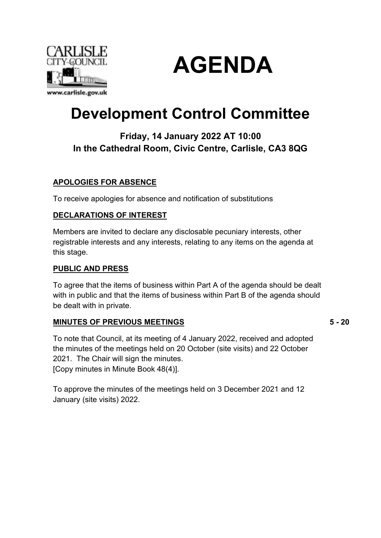



# **Development Control Committee**

# **Friday, 14 January 2022 AT 10:00 In the Cathedral Room, Civic Centre, Carlisle, CA3 8QG**

# **APOLOGIES FOR ABSENCE**

To receive apologies for absence and notification of substitutions

### **DECLARATIONS OF INTEREST**

Members are invited to declare any disclosable pecuniary interests, other registrable interests and any interests, relating to any items on the agenda at this stage.

### **PUBLIC AND PRESS**

To agree that the items of business within Part A of the agenda should be dealt with in public and that the items of business within Part B of the agenda should be dealt with in private.

**5 - 20**

### **MINUTES OF PREVIOUS MEETINGS**

To note that Council, at its meeting of 4 January 2022, received and adopted the minutes of the meetings held on 20 October (site visits) and 22 October 2021. The Chair will sign the minutes. [Copy minutes in Minute Book 48(4)].

To approve the minutes of the meetings held on 3 December 2021 and 12 January (site visits) 2022.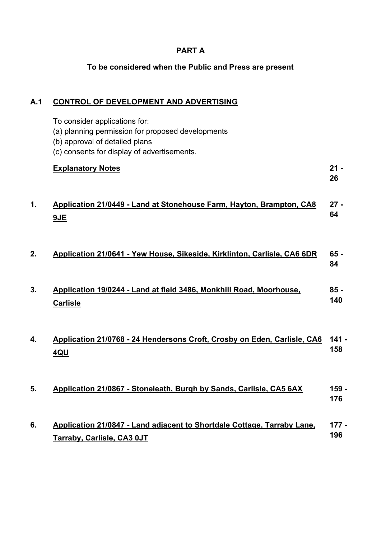# **PART A**

# **To be considered when the Public and Press are present**

# **A.1 CONTROL OF DEVELOPMENT AND ADVERTISING**

|               | To consider applications for:<br>(a) planning permission for proposed developments<br>(b) approval of detailed plans<br>(c) consents for display of advertisements. |                |
|---------------|---------------------------------------------------------------------------------------------------------------------------------------------------------------------|----------------|
|               | <b>Explanatory Notes</b>                                                                                                                                            | $21 -$<br>26   |
| $\mathbf 1$ . | Application 21/0449 - Land at Stonehouse Farm, Hayton, Brampton, CA8<br><b>9JE</b>                                                                                  | $27 -$<br>64   |
| 2.            | Application 21/0641 - Yew House, Sikeside, Kirklinton, Carlisle, CA6 6DR                                                                                            | $65 -$<br>84   |
| 3.            | Application 19/0244 - Land at field 3486, Monkhill Road, Moorhouse,<br><b>Carlisle</b>                                                                              | $85 -$<br>140  |
| 4.            | Application 21/0768 - 24 Hendersons Croft, Crosby on Eden, Carlisle, CA6<br><b>4QU</b>                                                                              | $141 -$<br>158 |
| 5.            | Application 21/0867 - Stoneleath, Burgh by Sands, Carlisle, CA5 6AX                                                                                                 | $159 -$<br>176 |
| 6.            | Application 21/0847 - Land adjacent to Shortdale Cottage, Tarraby Lane,<br>Tarraby, Carlisle, CA3 0JT                                                               | $177 -$<br>196 |